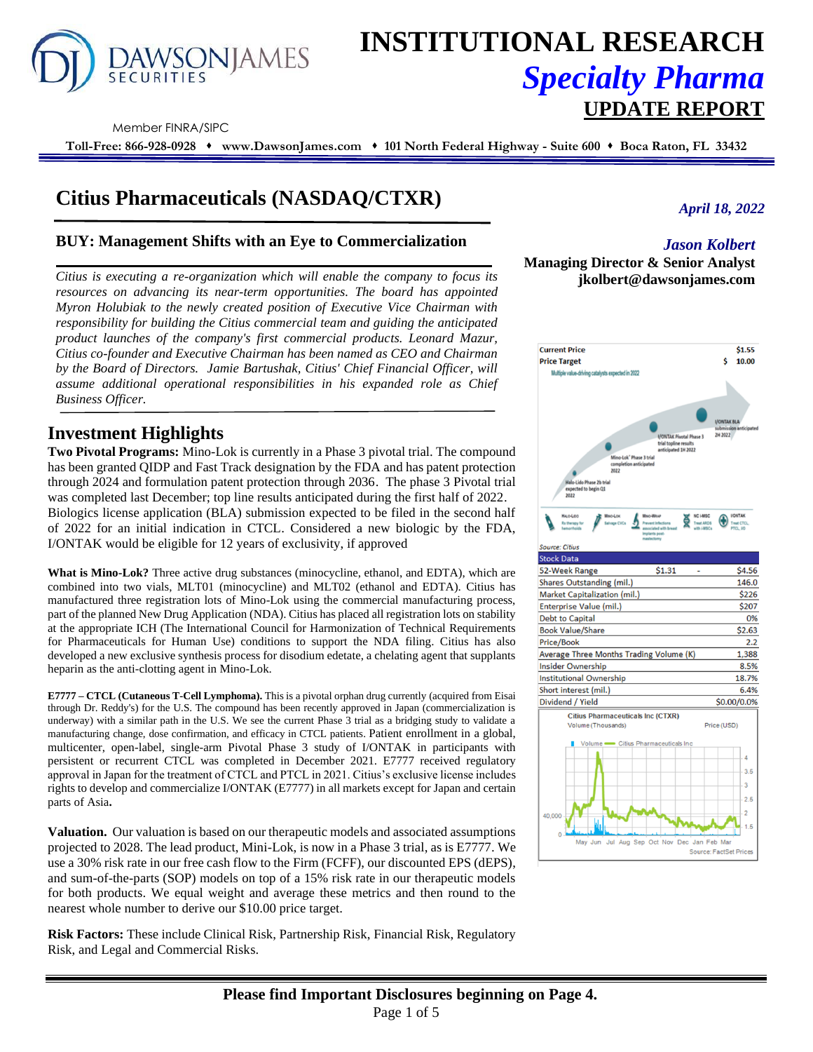

# **INSTITUTIONAL RESEARCH** *Specialty Pharma*  **UPDATE REPORT**

Member FINRA/SIPC

**Toll-Free: 866-928-0928** ⬧ **www.DawsonJames.com** ⬧ **101 North Federal Highway - Suite 600** ⬧ **Boca Raton, FL 33432**

# **Citius Pharmaceuticals (NASDAQ/CTXR)**

### **BUY: Management Shifts with an Eye to Commercialization**

*Citius is executing a re-organization which will enable the company to focus its resources on advancing its near-term opportunities. The board has appointed Myron Holubiak to the newly created position of Executive Vice Chairman with responsibility for building the Citius commercial team and guiding the anticipated product launches of the company's first commercial products. Leonard Mazur, Citius co-founder and Executive Chairman has been named as CEO and Chairman by the Board of Directors. Jamie Bartushak, Citius' Chief Financial Officer, will assume additional operational responsibilities in his expanded role as Chief Business Officer.*

# **Investment Highlights**

**Two Pivotal Programs:** Mino-Lok is currently in a Phase 3 pivotal trial. The compound has been granted QIDP and Fast Track designation by the FDA and has patent protection through 2024 and formulation patent protection through 2036. The phase 3 Pivotal trial was completed last December; top line results anticipated during the first half of 2022. Biologics license application (BLA) submission expected to be filed in the second half of 2022 for an initial indication in CTCL. Considered a new biologic by the FDA, I/ONTAK would be eligible for 12 years of exclusivity, if approved

**What is Mino-Lok?** Three active drug substances (minocycline, ethanol, and EDTA), which are combined into two vials, MLT01 (minocycline) and MLT02 (ethanol and EDTA). Citius has manufactured three registration lots of Mino-Lok using the commercial manufacturing process, part of the planned New Drug Application (NDA). Citius has placed all registration lots on stability at the appropriate ICH (The International Council for Harmonization of Technical Requirements for Pharmaceuticals for Human Use) conditions to support the NDA filing. Citius has also developed a new exclusive synthesis process for disodium edetate, a chelating agent that supplants heparin as the anti-clotting agent in Mino-Lok.

**E7777 – CTCL (Cutaneous T-Cell Lymphoma).** This is a pivotal orphan drug currently (acquired from Eisai through Dr. Reddy's) for the U.S. The compound has been recently approved in Japan (commercialization is underway) with a similar path in the U.S. We see the current Phase 3 trial as a bridging study to validate a manufacturing change, dose confirmation, and efficacy in CTCL patients. Patient enrollment in a global, multicenter, open-label, single-arm Pivotal Phase 3 study of I/ONTAK in participants with persistent or recurrent CTCL was completed in December 2021. E7777 received regulatory approval in Japan for the treatment of CTCL and PTCL in 2021. Citius's exclusive license includes rights to develop and commercialize I/ONTAK (E7777) in all markets except for Japan and certain parts of Asia**.**

**Valuation.** Our valuation is based on our therapeutic models and associated assumptions projected to 2028. The lead product, Mini-Lok, is now in a Phase 3 trial, as is E7777. We use a 30% risk rate in our free cash flow to the Firm (FCFF), our discounted EPS (dEPS), and sum-of-the-parts (SOP) models on top of a 15% risk rate in our therapeutic models for both products. We equal weight and average these metrics and then round to the nearest whole number to derive our \$10.00 price target.

**Risk Factors:** These include Clinical Risk, Partnership Risk, Financial Risk, Regulatory Risk, and Legal and Commercial Risks.

# *April 18, 2022*

# *Jason Kolbert*

# **Managing Director & Senior Analyst jkolbert@dawsonjames.com**

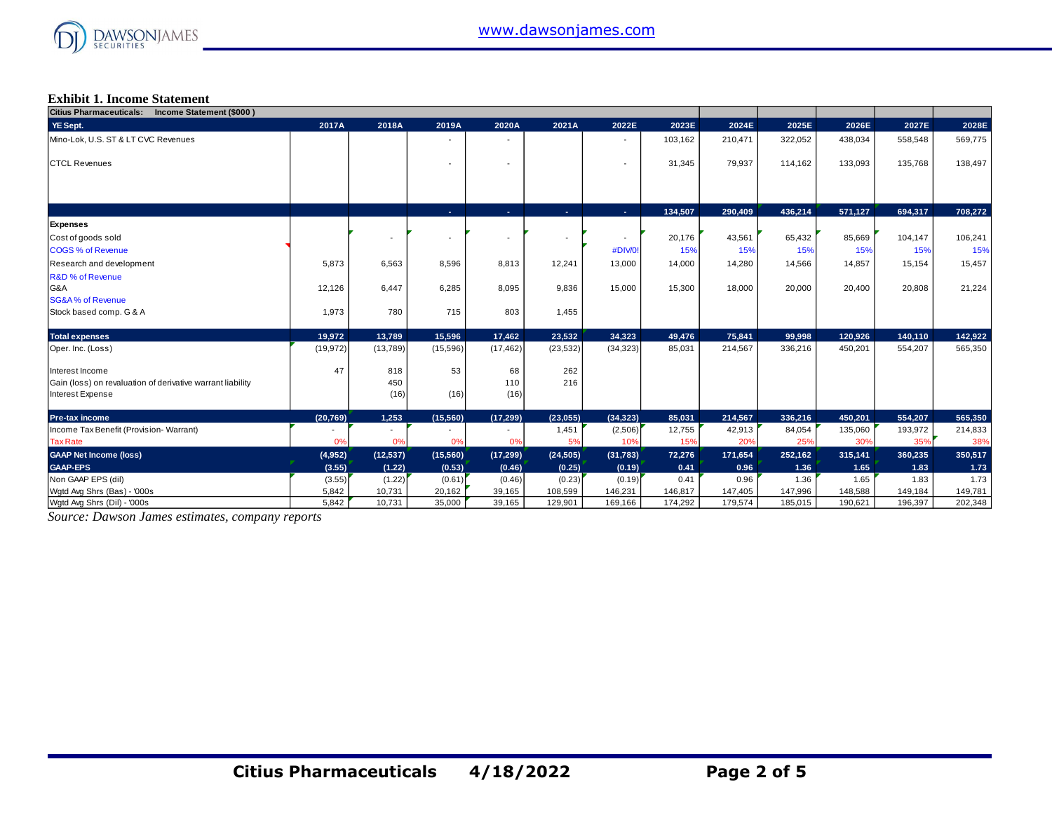

#### **Exhibit 1. Income Statement**

| Citius Pharmaceuticals: Income Statement (\$000)           |           |           |                |                          |           |                |         |         |         |         |         |         |
|------------------------------------------------------------|-----------|-----------|----------------|--------------------------|-----------|----------------|---------|---------|---------|---------|---------|---------|
| YE Sept.                                                   | 2017A     | 2018A     | 2019A          | 2020A                    | 2021A     | 2022E          | 2023E   | 2024E   | 2025E   | 2026E   | 2027E   | 2028E   |
| Mino-Lok, U.S. ST & LT CVC Revenues                        |           |           |                |                          |           |                | 103,162 | 210,471 | 322,052 | 438,034 | 558,548 | 569,775 |
|                                                            |           |           |                |                          |           |                |         |         |         |         |         |         |
| <b>CTCL Revenues</b>                                       |           |           |                |                          |           |                | 31,345  | 79,937  | 114,162 | 133,093 | 135,768 | 138,497 |
|                                                            |           |           |                |                          |           |                |         |         |         |         |         |         |
|                                                            |           |           |                |                          |           |                |         |         |         |         |         |         |
|                                                            |           |           | $\sim 10$      | ×.                       | A.        | A.             | 134,507 | 290,409 | 436,214 | 571,127 | 694,317 | 708,272 |
| <b>Expenses</b>                                            |           |           |                |                          |           |                |         |         |         |         |         |         |
| Cost of goods sold                                         |           |           | $\blacksquare$ | $\overline{\phantom{a}}$ |           | $\blacksquare$ | 20,176  | 43,561  | 65,432  | 85,669  | 104,147 | 106,241 |
| <b>COGS % of Revenue</b>                                   |           |           |                |                          |           | #DIV/0!        | 15%     | 15%     | 15%     | 15%     | 15%     | 15%     |
| Research and development                                   | 5,873     | 6,563     | 8,596          | 8,813                    | 12,241    | 13,000         | 14,000  | 14,280  | 14,566  | 14,857  | 15,154  | 15,457  |
| R&D % of Revenue                                           |           |           |                |                          |           |                |         |         |         |         |         |         |
| G&A                                                        | 12,126    | 6,447     | 6,285          | 8,095                    | 9,836     | 15,000         | 15,300  | 18,000  | 20,000  | 20,400  | 20,808  | 21,224  |
| <b>SG&amp;A% of Revenue</b>                                |           |           |                |                          |           |                |         |         |         |         |         |         |
| Stock based comp. G & A                                    | 1,973     | 780       | 715            | 803                      | 1,455     |                |         |         |         |         |         |         |
| <b>Total expenses</b>                                      | 19,972    | 13,789    | 15,596         | 17,462                   | 23,532    | 34,323         | 49,476  | 75.841  | 99,998  | 120,926 | 140,110 | 142,922 |
| Oper. Inc. (Loss)                                          | (19, 972) | (13,789)  | (15,596)       | (17, 462)                | (23, 532) | (34, 323)      | 85,031  | 214,567 | 336,216 | 450,201 | 554,207 | 565,350 |
| Interest Income                                            | 47        | 818       | 53             | 68                       | 262       |                |         |         |         |         |         |         |
| Gain (loss) on revaluation of derivative warrant liability |           | 450       |                | 110                      | 216       |                |         |         |         |         |         |         |
| Interest Expense                                           |           | (16)      | (16)           | (16)                     |           |                |         |         |         |         |         |         |
| Pre-tax income                                             | (20, 769) | 1,253     | (15, 560)      | (17, 299)                | (23, 055) | (34, 323)      | 85,031  | 214,567 | 336,216 | 450,201 | 554,207 | 565,350 |
| Income Tax Benefit (Provision-Warrant)                     |           |           |                |                          | 1,451     | (2,506)        | 12,755  | 42,913  | 84,054  | 135,060 | 193,972 | 214,833 |
| <b>Tax Rate</b>                                            | 0%        | 0%        | 0%             | 0%                       | 5%        | 10%            | 15%     | 20%     | 25%     | 30%     | 35%     | 38%     |
| <b>GAAP Net Income (loss)</b>                              | (4,952)   | (12, 537) | (15, 560)      | (17, 299)                | (24, 505) | (31, 783)      | 72,276  | 171,654 | 252,162 | 315,141 | 360,235 | 350,517 |
| <b>GAAP-EPS</b>                                            | (3.55)    | (1.22)    | (0.53)         | (0.46)                   | (0.25)    | (0.19)         | 0.41    | 0.96    | 1.36    | 1.65    | 1.83    | 1.73    |
| Non GAAP EPS (dil)                                         | (3.55)    | (1.22)    | (0.61)         | (0.46)                   | (0.23)    | (0.19)         | 0.41    | 0.96    | 1.36    | 1.65    | 1.83    | 1.73    |
| Wgtd Avg Shrs (Bas) - '000s                                | 5,842     | 10,731    | 20,162         | 39,165                   | 108,599   | 146,231        | 146,817 | 147,405 | 147,996 | 148,588 | 149,184 | 149,781 |
| Wgtd Avg Shrs (Dil) - '000s                                | 5,842     | 10,731    | 35,000         | 39,165                   | 129,901   | 169,166        | 174,292 | 179,574 | 185,015 | 190,621 | 196,397 | 202,348 |

*Source: Dawson James estimates, company reports*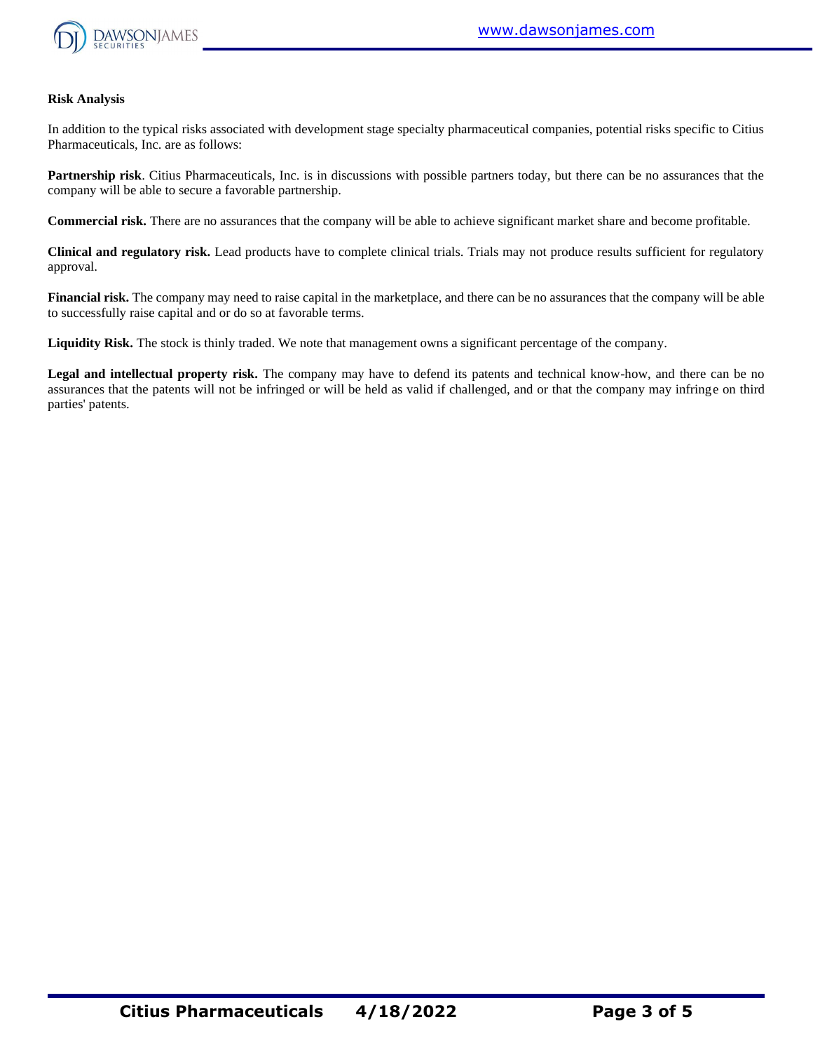

#### **Risk Analysis**

In addition to the typical risks associated with development stage specialty pharmaceutical companies, potential risks specific to Citius Pharmaceuticals, Inc. are as follows:

**Partnership risk**. Citius Pharmaceuticals, Inc. is in discussions with possible partners today, but there can be no assurances that the company will be able to secure a favorable partnership.

**Commercial risk.** There are no assurances that the company will be able to achieve significant market share and become profitable.

**Clinical and regulatory risk.** Lead products have to complete clinical trials. Trials may not produce results sufficient for regulatory approval.

**Financial risk.** The company may need to raise capital in the marketplace, and there can be no assurances that the company will be able to successfully raise capital and or do so at favorable terms.

**Liquidity Risk.** The stock is thinly traded. We note that management owns a significant percentage of the company.

**Legal and intellectual property risk.** The company may have to defend its patents and technical know-how, and there can be no assurances that the patents will not be infringed or will be held as valid if challenged, and or that the company may infringe on third parties' patents.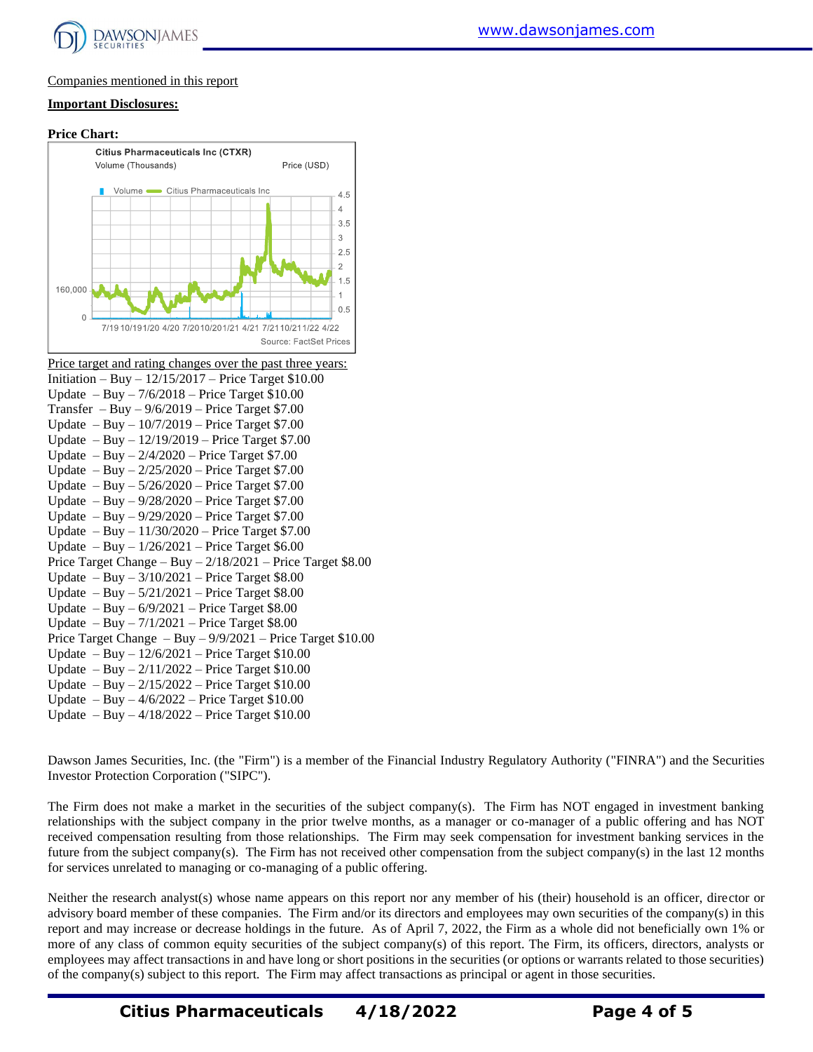

#### Companies mentioned in this report

#### **Important Disclosures:**





Update – Buy – 12/6/2021 – Price Target \$10.00

- Update Buy 2/11/2022 Price Target \$10.00
- Update Buy 2/15/2022 Price Target \$10.00
- Update Buy 4/6/2022 Price Target \$10.00
- Update Buy 4/18/2022 Price Target \$10.00

[www.dawsonjames.com](http://www.dawsonjames.com/)

Dawson James Securities, Inc. (the "Firm") is a member of the Financial Industry Regulatory Authority ("FINRA") and the Securities Investor Protection Corporation ("SIPC").

The Firm does not make a market in the securities of the subject company(s). The Firm has NOT engaged in investment banking relationships with the subject company in the prior twelve months, as a manager or co-manager of a public offering and has NOT received compensation resulting from those relationships. The Firm may seek compensation for investment banking services in the future from the subject company(s). The Firm has not received other compensation from the subject company(s) in the last 12 months for services unrelated to managing or co-managing of a public offering.

Neither the research analyst(s) whose name appears on this report nor any member of his (their) household is an officer, director or advisory board member of these companies. The Firm and/or its directors and employees may own securities of the company(s) in this report and may increase or decrease holdings in the future. As of April 7, 2022, the Firm as a whole did not beneficially own 1% or more of any class of common equity securities of the subject company(s) of this report. The Firm, its officers, directors, analysts or employees may affect transactions in and have long or short positions in the securities (or options or warrants related to those securities) of the company(s) subject to this report. The Firm may affect transactions as principal or agent in those securities.